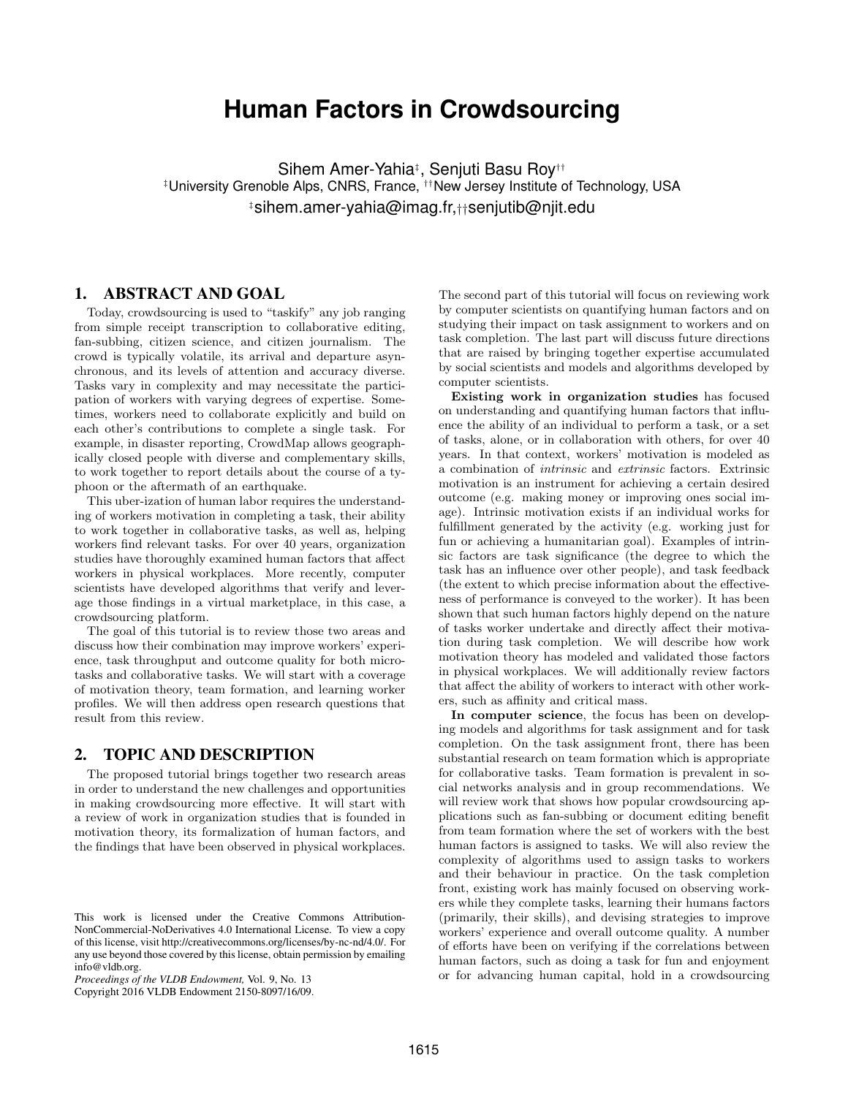# **Human Factors in Crowdsourcing**

Sihem Amer-Yahia‡ , Senjuti Basu Roy†† ‡University Grenoble Alps, CNRS, France, ††New Jersey Institute of Technology, USA ‡sihem.amer-yahia@imag.fr,††senjutib@njit.edu

## 1. ABSTRACT AND GOAL

Today, crowdsourcing is used to "taskify" any job ranging from simple receipt transcription to collaborative editing, fan-subbing, citizen science, and citizen journalism. The crowd is typically volatile, its arrival and departure asynchronous, and its levels of attention and accuracy diverse. Tasks vary in complexity and may necessitate the participation of workers with varying degrees of expertise. Sometimes, workers need to collaborate explicitly and build on each other's contributions to complete a single task. For example, in disaster reporting, CrowdMap allows geographically closed people with diverse and complementary skills, to work together to report details about the course of a typhoon or the aftermath of an earthquake.

This uber-ization of human labor requires the understanding of workers motivation in completing a task, their ability to work together in collaborative tasks, as well as, helping workers find relevant tasks. For over 40 years, organization studies have thoroughly examined human factors that affect workers in physical workplaces. More recently, computer scientists have developed algorithms that verify and leverage those findings in a virtual marketplace, in this case, a crowdsourcing platform.

The goal of this tutorial is to review those two areas and discuss how their combination may improve workers' experience, task throughput and outcome quality for both microtasks and collaborative tasks. We will start with a coverage of motivation theory, team formation, and learning worker profiles. We will then address open research questions that result from this review.

## 2. TOPIC AND DESCRIPTION

The proposed tutorial brings together two research areas in order to understand the new challenges and opportunities in making crowdsourcing more effective. It will start with a review of work in organization studies that is founded in motivation theory, its formalization of human factors, and the findings that have been observed in physical workplaces.

Copyright 2016 VLDB Endowment 2150-8097/16/09.

The second part of this tutorial will focus on reviewing work by computer scientists on quantifying human factors and on studying their impact on task assignment to workers and on task completion. The last part will discuss future directions that are raised by bringing together expertise accumulated by social scientists and models and algorithms developed by computer scientists.

Existing work in organization studies has focused on understanding and quantifying human factors that influence the ability of an individual to perform a task, or a set of tasks, alone, or in collaboration with others, for over 40 years. In that context, workers' motivation is modeled as a combination of intrinsic and extrinsic factors. Extrinsic motivation is an instrument for achieving a certain desired outcome (e.g. making money or improving ones social image). Intrinsic motivation exists if an individual works for fulfillment generated by the activity (e.g. working just for fun or achieving a humanitarian goal). Examples of intrinsic factors are task significance (the degree to which the task has an influence over other people), and task feedback (the extent to which precise information about the effectiveness of performance is conveyed to the worker). It has been shown that such human factors highly depend on the nature of tasks worker undertake and directly affect their motivation during task completion. We will describe how work motivation theory has modeled and validated those factors in physical workplaces. We will additionally review factors that affect the ability of workers to interact with other workers, such as affinity and critical mass.

In computer science, the focus has been on developing models and algorithms for task assignment and for task completion. On the task assignment front, there has been substantial research on team formation which is appropriate for collaborative tasks. Team formation is prevalent in social networks analysis and in group recommendations. We will review work that shows how popular crowdsourcing applications such as fan-subbing or document editing benefit from team formation where the set of workers with the best human factors is assigned to tasks. We will also review the complexity of algorithms used to assign tasks to workers and their behaviour in practice. On the task completion front, existing work has mainly focused on observing workers while they complete tasks, learning their humans factors (primarily, their skills), and devising strategies to improve workers' experience and overall outcome quality. A number of efforts have been on verifying if the correlations between human factors, such as doing a task for fun and enjoyment or for advancing human capital, hold in a crowdsourcing

This work is licensed under the Creative Commons Attribution-NonCommercial-NoDerivatives 4.0 International License. To view a copy of this license, visit http://creativecommons.org/licenses/by-nc-nd/4.0/. For any use beyond those covered by this license, obtain permission by emailing info@vldb.org.

*Proceedings of the VLDB Endowment,* Vol. 9, No. 13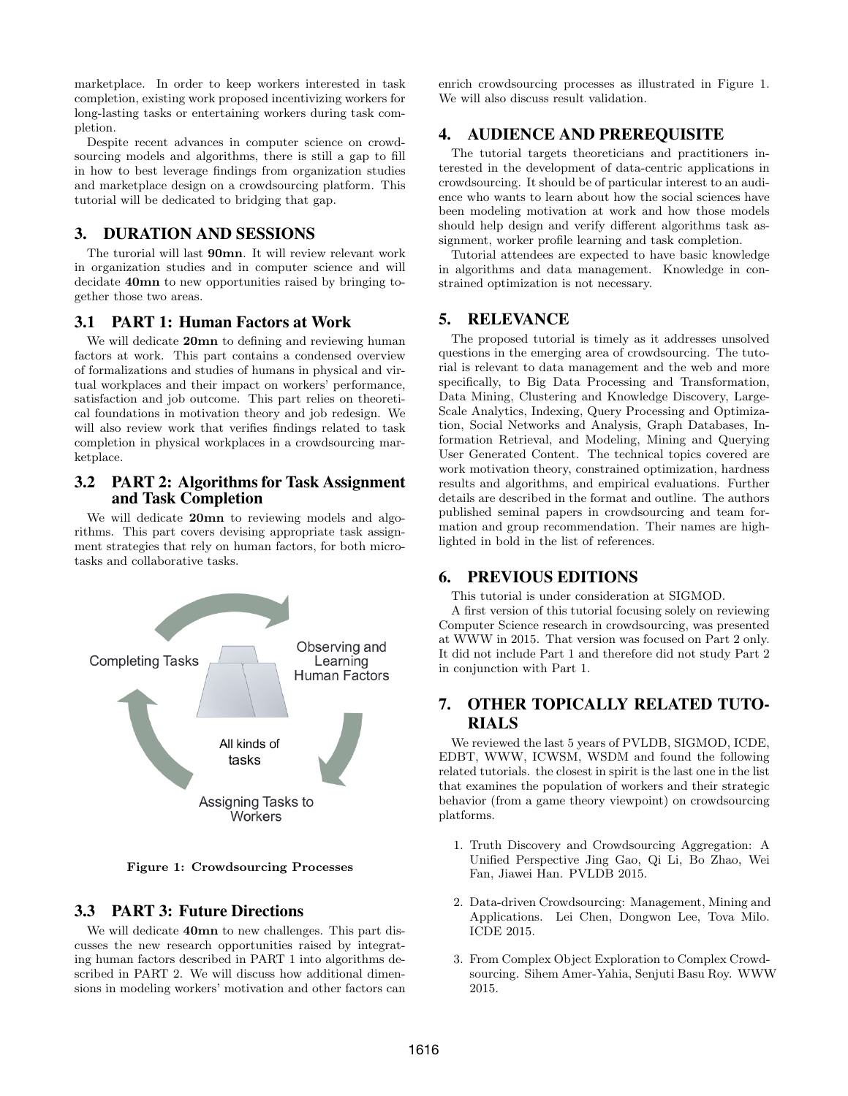marketplace. In order to keep workers interested in task completion, existing work proposed incentivizing workers for long-lasting tasks or entertaining workers during task completion.

Despite recent advances in computer science on crowdsourcing models and algorithms, there is still a gap to fill in how to best leverage findings from organization studies and marketplace design on a crowdsourcing platform. This tutorial will be dedicated to bridging that gap.

## 3. DURATION AND SESSIONS

The turorial will last 90mn. It will review relevant work in organization studies and in computer science and will decidate 40mn to new opportunities raised by bringing together those two areas.

#### 3.1 PART 1: Human Factors at Work

We will dedicate 20mn to defining and reviewing human factors at work. This part contains a condensed overview of formalizations and studies of humans in physical and virtual workplaces and their impact on workers' performance, satisfaction and job outcome. This part relies on theoretical foundations in motivation theory and job redesign. We will also review work that verifies findings related to task completion in physical workplaces in a crowdsourcing marketplace.

### 3.2 PART 2: Algorithms for Task Assignment and Task Completion

We will dedicate 20mn to reviewing models and algorithms. This part covers devising appropriate task assignment strategies that rely on human factors, for both microtasks and collaborative tasks.



Figure 1: Crowdsourcing Processes

## 3.3 PART 3: Future Directions

We will dedicate **40mn** to new challenges. This part discusses the new research opportunities raised by integrating human factors described in PART 1 into algorithms described in PART 2. We will discuss how additional dimensions in modeling workers' motivation and other factors can enrich crowdsourcing processes as illustrated in Figure 1. We will also discuss result validation.

## 4. AUDIENCE AND PREREQUISITE

The tutorial targets theoreticians and practitioners interested in the development of data-centric applications in crowdsourcing. It should be of particular interest to an audience who wants to learn about how the social sciences have been modeling motivation at work and how those models should help design and verify different algorithms task assignment, worker profile learning and task completion.

Tutorial attendees are expected to have basic knowledge in algorithms and data management. Knowledge in constrained optimization is not necessary.

# 5. RELEVANCE

The proposed tutorial is timely as it addresses unsolved questions in the emerging area of crowdsourcing. The tutorial is relevant to data management and the web and more specifically, to Big Data Processing and Transformation, Data Mining, Clustering and Knowledge Discovery, Large-Scale Analytics, Indexing, Query Processing and Optimization, Social Networks and Analysis, Graph Databases, Information Retrieval, and Modeling, Mining and Querying User Generated Content. The technical topics covered are work motivation theory, constrained optimization, hardness results and algorithms, and empirical evaluations. Further details are described in the format and outline. The authors published seminal papers in crowdsourcing and team formation and group recommendation. Their names are highlighted in bold in the list of references.

#### 6. PREVIOUS EDITIONS

This tutorial is under consideration at SIGMOD.

A first version of this tutorial focusing solely on reviewing Computer Science research in crowdsourcing, was presented at WWW in 2015. That version was focused on Part 2 only. It did not include Part 1 and therefore did not study Part 2 in conjunction with Part 1.

# 7. OTHER TOPICALLY RELATED TUTO-RIALS

We reviewed the last 5 years of PVLDB, SIGMOD, ICDE, EDBT, WWW, ICWSM, WSDM and found the following related tutorials. the closest in spirit is the last one in the list that examines the population of workers and their strategic behavior (from a game theory viewpoint) on crowdsourcing platforms.

- 1. Truth Discovery and Crowdsourcing Aggregation: A Unified Perspective Jing Gao, Qi Li, Bo Zhao, Wei Fan, Jiawei Han. PVLDB 2015.
- 2. Data-driven Crowdsourcing: Management, Mining and Applications. Lei Chen, Dongwon Lee, Tova Milo. ICDE 2015.
- 3. From Complex Object Exploration to Complex Crowdsourcing. Sihem Amer-Yahia, Senjuti Basu Roy. WWW 2015.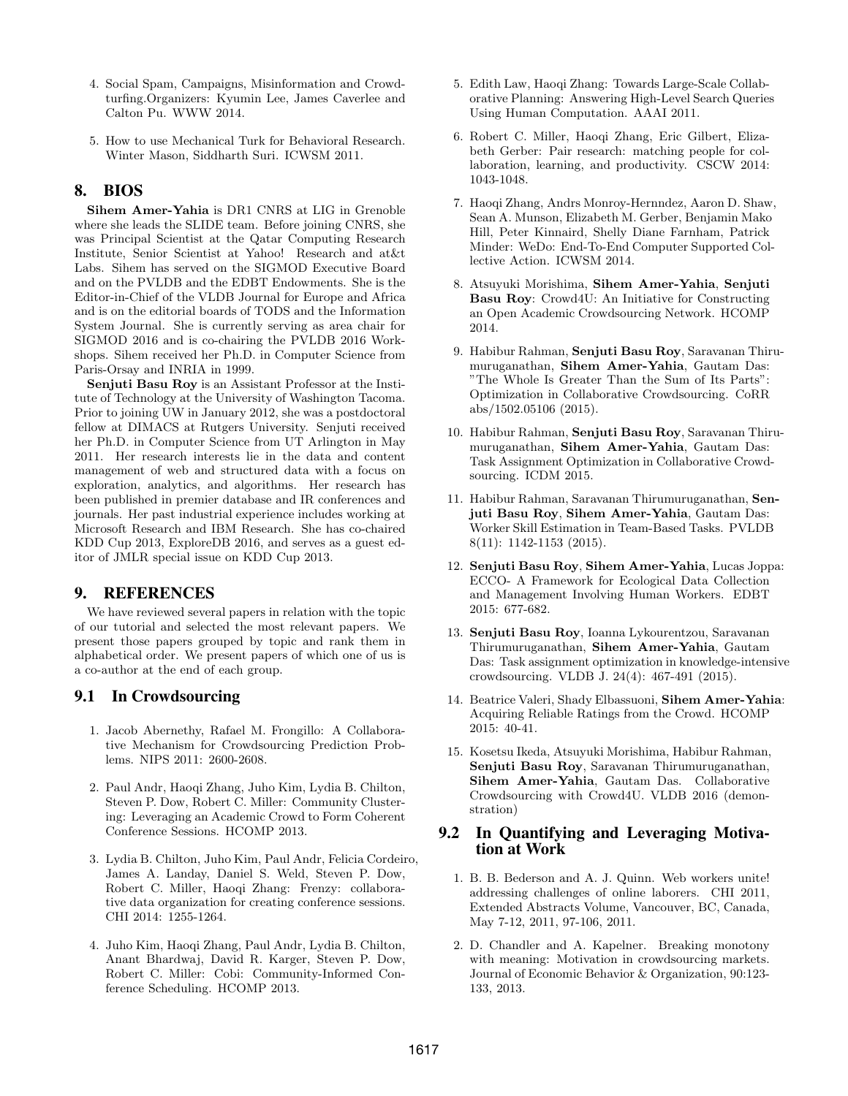- 4. Social Spam, Campaigns, Misinformation and Crowdturfing.Organizers: Kyumin Lee, James Caverlee and Calton Pu. WWW 2014.
- 5. How to use Mechanical Turk for Behavioral Research. Winter Mason, Siddharth Suri. ICWSM 2011.

# 8. BIOS

Sihem Amer-Yahia is DR1 CNRS at LIG in Grenoble where she leads the SLIDE team. Before joining CNRS, she was Principal Scientist at the Qatar Computing Research Institute, Senior Scientist at Yahoo! Research and at&t Labs. Sihem has served on the SIGMOD Executive Board and on the PVLDB and the EDBT Endowments. She is the Editor-in-Chief of the VLDB Journal for Europe and Africa and is on the editorial boards of TODS and the Information System Journal. She is currently serving as area chair for SIGMOD 2016 and is co-chairing the PVLDB 2016 Workshops. Sihem received her Ph.D. in Computer Science from Paris-Orsay and INRIA in 1999.

Senjuti Basu Roy is an Assistant Professor at the Institute of Technology at the University of Washington Tacoma. Prior to joining UW in January 2012, she was a postdoctoral fellow at DIMACS at Rutgers University. Senjuti received her Ph.D. in Computer Science from UT Arlington in May 2011. Her research interests lie in the data and content management of web and structured data with a focus on exploration, analytics, and algorithms. Her research has been published in premier database and IR conferences and journals. Her past industrial experience includes working at Microsoft Research and IBM Research. She has co-chaired KDD Cup 2013, ExploreDB 2016, and serves as a guest editor of JMLR special issue on KDD Cup 2013.

## 9. REFERENCES

We have reviewed several papers in relation with the topic of our tutorial and selected the most relevant papers. We present those papers grouped by topic and rank them in alphabetical order. We present papers of which one of us is a co-author at the end of each group.

#### 9.1 In Crowdsourcing

- 1. Jacob Abernethy, Rafael M. Frongillo: A Collaborative Mechanism for Crowdsourcing Prediction Problems. NIPS 2011: 2600-2608.
- 2. Paul Andr, Haoqi Zhang, Juho Kim, Lydia B. Chilton, Steven P. Dow, Robert C. Miller: Community Clustering: Leveraging an Academic Crowd to Form Coherent Conference Sessions. HCOMP 2013.
- 3. Lydia B. Chilton, Juho Kim, Paul Andr, Felicia Cordeiro, James A. Landay, Daniel S. Weld, Steven P. Dow, Robert C. Miller, Haoqi Zhang: Frenzy: collaborative data organization for creating conference sessions. CHI 2014: 1255-1264.
- 4. Juho Kim, Haoqi Zhang, Paul Andr, Lydia B. Chilton, Anant Bhardwaj, David R. Karger, Steven P. Dow, Robert C. Miller: Cobi: Community-Informed Conference Scheduling. HCOMP 2013.
- 5. Edith Law, Haoqi Zhang: Towards Large-Scale Collaborative Planning: Answering High-Level Search Queries Using Human Computation. AAAI 2011.
- 6. Robert C. Miller, Haoqi Zhang, Eric Gilbert, Elizabeth Gerber: Pair research: matching people for collaboration, learning, and productivity. CSCW 2014: 1043-1048.
- 7. Haoqi Zhang, Andrs Monroy-Hernndez, Aaron D. Shaw, Sean A. Munson, Elizabeth M. Gerber, Benjamin Mako Hill, Peter Kinnaird, Shelly Diane Farnham, Patrick Minder: WeDo: End-To-End Computer Supported Collective Action. ICWSM 2014.
- 8. Atsuyuki Morishima, Sihem Amer-Yahia, Senjuti Basu Roy: Crowd4U: An Initiative for Constructing an Open Academic Crowdsourcing Network. HCOMP 2014.
- 9. Habibur Rahman, Senjuti Basu Roy, Saravanan Thirumuruganathan, Sihem Amer-Yahia, Gautam Das: "The Whole Is Greater Than the Sum of Its Parts": Optimization in Collaborative Crowdsourcing. CoRR abs/1502.05106 (2015).
- 10. Habibur Rahman, Senjuti Basu Roy, Saravanan Thirumuruganathan, Sihem Amer-Yahia, Gautam Das: Task Assignment Optimization in Collaborative Crowdsourcing. ICDM 2015.
- 11. Habibur Rahman, Saravanan Thirumuruganathan, Senjuti Basu Roy, Sihem Amer-Yahia, Gautam Das: Worker Skill Estimation in Team-Based Tasks. PVLDB 8(11): 1142-1153 (2015).
- 12. Senjuti Basu Roy, Sihem Amer-Yahia, Lucas Joppa: ECCO- A Framework for Ecological Data Collection and Management Involving Human Workers. EDBT 2015: 677-682.
- 13. Senjuti Basu Roy, Ioanna Lykourentzou, Saravanan Thirumuruganathan, Sihem Amer-Yahia, Gautam Das: Task assignment optimization in knowledge-intensive crowdsourcing. VLDB J. 24(4): 467-491 (2015).
- 14. Beatrice Valeri, Shady Elbassuoni, Sihem Amer-Yahia: Acquiring Reliable Ratings from the Crowd. HCOMP 2015: 40-41.
- 15. Kosetsu Ikeda, Atsuyuki Morishima, Habibur Rahman, Senjuti Basu Roy, Saravanan Thirumuruganathan, Sihem Amer-Yahia, Gautam Das. Collaborative Crowdsourcing with Crowd4U. VLDB 2016 (demonstration)

## 9.2 In Quantifying and Leveraging Motivation at Work

- 1. B. B. Bederson and A. J. Quinn. Web workers unite! addressing challenges of online laborers. CHI 2011, Extended Abstracts Volume, Vancouver, BC, Canada, May 7-12, 2011, 97-106, 2011.
- 2. D. Chandler and A. Kapelner. Breaking monotony with meaning: Motivation in crowdsourcing markets. Journal of Economic Behavior & Organization, 90:123- 133, 2013.